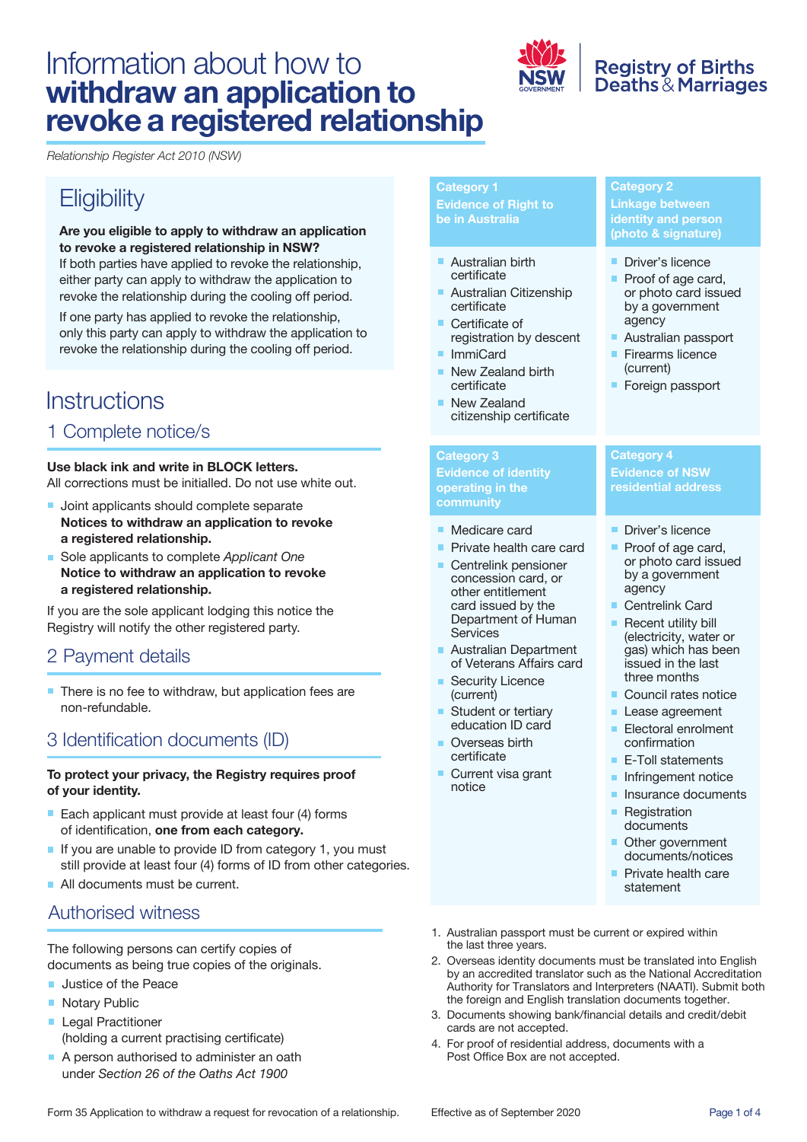# Information about how to **withdraw an application to revoke a registered relationship**



# **Registry of Births<br>Deaths & Marriages**

*Relationship Register Act 2010 (NSW)* 

# **Eligibility**

 **to revoke a registered relationship in NSW? Are you eligible to apply to withdraw an application**  If both parties have applied to revoke the relationship, either party can apply to withdraw the application to revoke the relationship during the cooling off period.

If one party has applied to revoke the relationship, only this party can apply to withdraw the application to revoke the relationship during the cooling off period.

# **Instructions**

# 1 Complete notice/s

#### **Use black ink and write in BLOCK letters.**

All corrections must be initialled. Do not use white out.

- **Joint applicants should complete separate Notices to withdraw an application to revoke a registered relationship.**
- **Notice to withdraw an application to revoke**  ■ Sole applicants to complete *Applicant One* **a registered relationship.**

 If you are the sole applicant lodging this notice the Registry will notify the other registered party.

### 2 Payment details

 There is no fee to withdraw, but application fees are non-refundable.

# 3 Identification documents (ID)

#### **To protect your privacy, the Registry requires proof of your identity.**

- Each applicant must provide at least four  $(4)$  forms of identification, **one from each category.**
- $\blacksquare$  If you are unable to provide ID from category 1, you must still provide at least four (4) forms of ID from other categories.
- All documents must be current.

### Authorised witness

The following persons can certify copies of documents as being true copies of the originals.

- **Justice of the Peace**
- Notary Public
- **Legal Practitioner** (holding a current practising certificate)
- A person authorised to administer an oath under *Section 26 of the Oaths Act 1900*

# **Category 1**

**Evidence of Right to be in Australia** 

- Australian birth certificate
- Australian Citizenship certificate
- Certificate of registration by descent
- ImmiCard
- New Zealand birth certificate
- New Zealand citizenship certificate

#### **Category 3**

**Evidence of identity operating in the community** 

- Medicare card
- **Private health care card**
- Centrelink pensioner concession card, or other entitlement card issued by the Department of Human Services
- **Australian Department** of Veterans Affairs card
- Security Licence (current)
- Student or tertiary education ID card
- Overseas birth certificate
- Current visa grant notice

#### **Category 2 Linkage between identity and person (photo & signature)**

- Driver's licence
- Proof of age card, or photo card issued by a government agency
- Australian passport
- Firearms licence (current)
- **Foreign passport**

#### **Category 4 Evidence of NSW residential address**

- **Driver's licence**
- Proof of age card, or photo card issued by a government agency
- Centrelink Card
- Recent utility bill m. (electricity, water or gas) which has been issued in the last three months
- Council rates notice
- Lease agreement
- Electoral enrolment confirmation
- E-Toll statements
- **Infringement notice**
- **Insurance documents**
- **Registration** documents
- Other government documents/notices
- **Private health care** statement
- 1. Australian passport must be current or expired within the last three years.
- 2. Overseas identity documents must be translated into English by an accredited translator such as the National Accreditation Authority for Translators and Interpreters (NAATI). Submit both the foreign and English translation documents together.
- 3. Documents showing bank/financial details and credit/debit cards are not accepted.
- 4. For proof of residential address, documents with a Post Office Box are not accepted.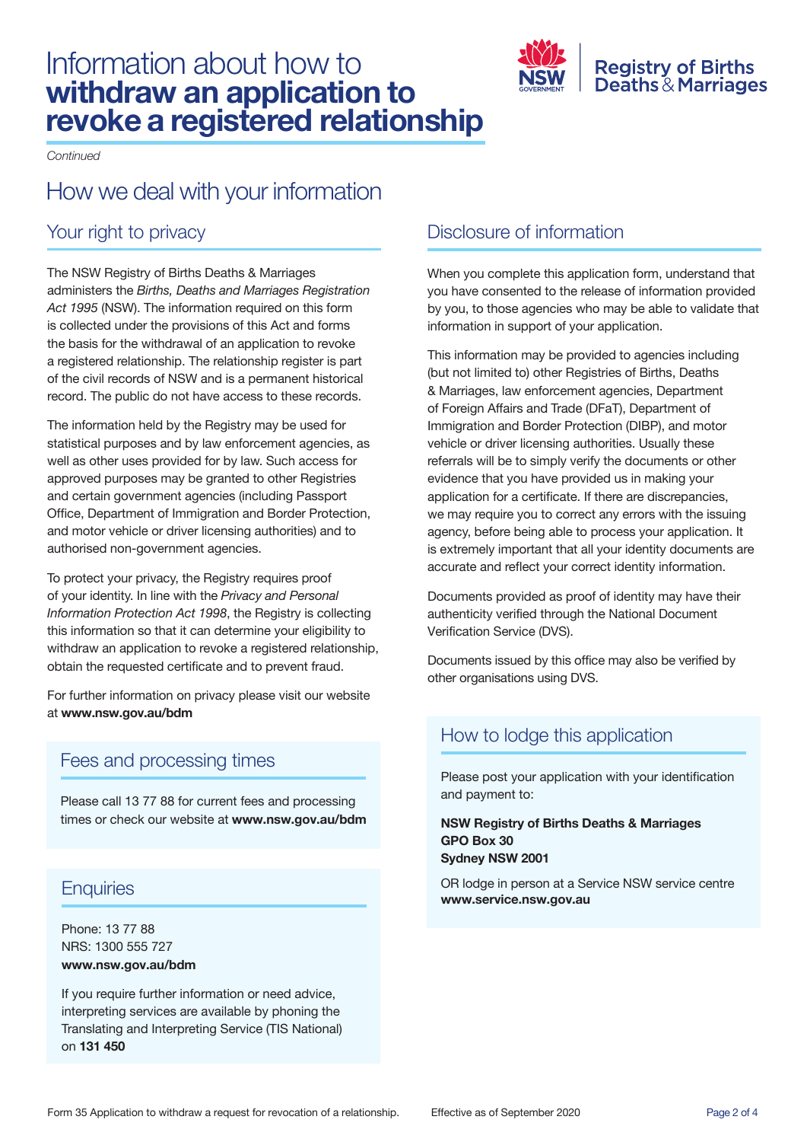# Information about how to **withdraw an application to revoke a registered relationship**



*Continued* 

# How we deal with your information

# Your right to privacy

 *Act 1995* (NSW). The information required on this form is collected under the provisions of this Act and forms the basis for the withdrawal of an application to revoke a registered relationship. The relationship register is part of the civil records of NSW and is a permanent historical record. The public do not have access to these records. The NSW Registry of Births Deaths & Marriages administers the *Births, Deaths and Marriages Registration* 

 statistical purposes and by law enforcement agencies, as well as other uses provided for by law. Such access for Office, Department of Immigration and Border Protection, and motor vehicle or driver licensing authorities) and to The information held by the Registry may be used for approved purposes may be granted to other Registries and certain government agencies (including Passport authorised non-government agencies.

 this information so that it can determine your eligibility to obtain the requested certificate and to prevent fraud. To protect your privacy, the Registry requires proof of your identity. In line with the *Privacy and Personal Information Protection Act 1998*, the Registry is collecting withdraw an application to revoke a registered relationship,

For further information on privacy please visit our website at **<www.nsw.gov.au/bdm>** 

# Fees and processing times

 Please call 13 77 88 for current fees and processing times or check our website at **<www.nsw.gov.au/bdm>** 

# **Enquiries**

Phone: 13 77 88 NRS: 1300 555 727 **<www.nsw.gov.au/bdm>**

 If you require further information or need advice, Translating and Interpreting Service (TIS National) interpreting services are available by phoning the on **131 450** 

# Disclosure of information

 When you complete this application form, understand that you have consented to the release of information provided by you, to those agencies who may be able to validate that information in support of your application.

 This information may be provided to agencies including (but not limited to) other Registries of Births, Deaths of Foreign Affairs and Trade (DFaT), Department of Immigration and Border Protection (DIBP), and motor referrals will be to simply verify the documents or other evidence that you have provided us in making your application for a certificate. If there are discrepancies, we may require you to correct any errors with the issuing agency, before being able to process your application. It is extremely important that all your identity documents are accurate and reflect your correct identity information. & Marriages, law enforcement agencies, Department vehicle or driver licensing authorities. Usually these

 Documents provided as proof of identity may have their authenticity verified through the National Document Verification Service (DVS).

 Documents issued by this office may also be verified by other organisations using DVS.

# How to lodge this application

 Please post your application with your identification and payment to:

#### **NSW Registry of Births Deaths & Marriages GPO Box 30 Sydney NSW 2001**

OR lodge in person at a Service NSW service centre **<www.service.nsw.gov.au>**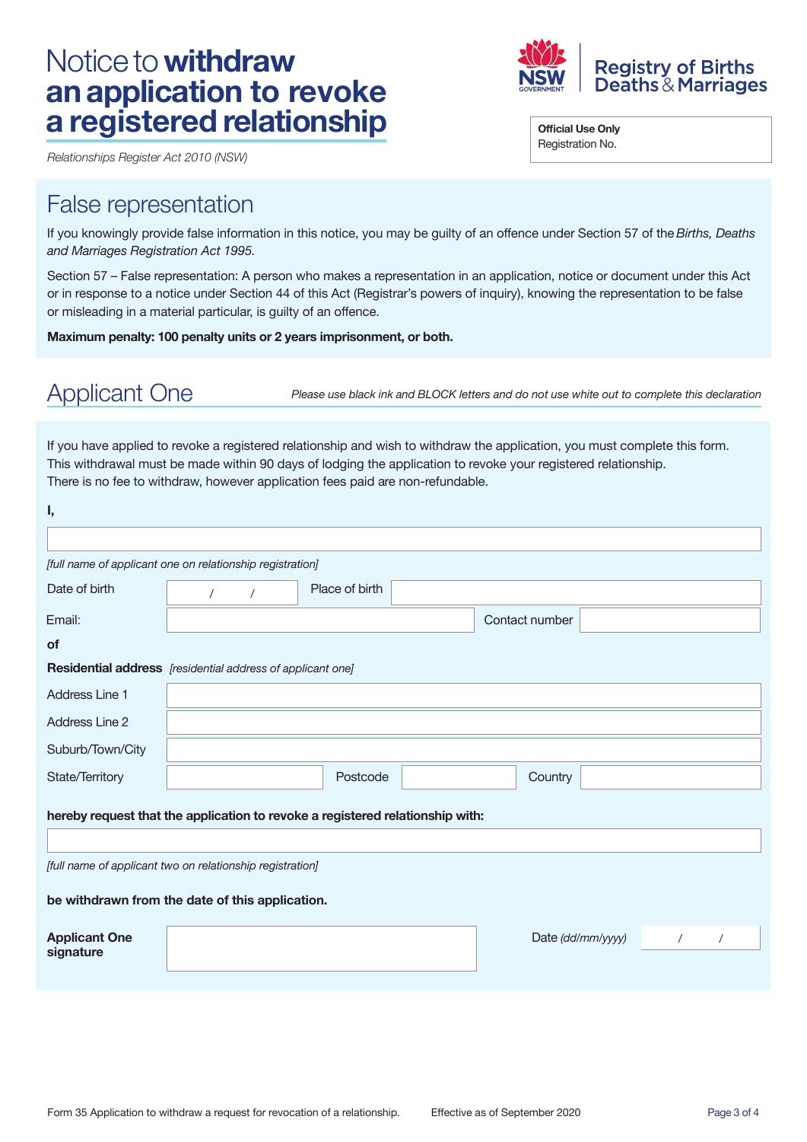# Notice to **withdraw a registered relationship an application to revoke**

 *Relationships Register Act 2010 (NSW)* 

# False representation

 If you knowingly provide false information in this notice, you may be guilty of an offence under Section 57 of the *Births, Deaths and Marriages Registration Act 1995.* 

 Section 57 – False representation: A person who makes a representation in an application, notice or document under this Act or in response to a notice under Section 44 of this Act (Registrar's powers of inquiry), knowing the representation to be false or misleading in a material particular, is guilty of an offence.

 **Maximum penalty: 100 penalty units or 2 years imprisonment, or both.** 

Applicant One *Please use black ink and BLOCK letters and do not use white out to complete this declaration* 

 If you have applied to revoke a registered relationship and wish to withdraw the application, you must complete this form. This withdrawal must be made within 90 days of lodging the application to revoke your registered relationship. There is no fee to withdraw, however application fees paid are non-refundable.

| ı,                                                                            |                                                           |                |  |                   |  |  |  |  |  |  |  |
|-------------------------------------------------------------------------------|-----------------------------------------------------------|----------------|--|-------------------|--|--|--|--|--|--|--|
|                                                                               |                                                           |                |  |                   |  |  |  |  |  |  |  |
|                                                                               | [full name of applicant one on relationship registration] |                |  |                   |  |  |  |  |  |  |  |
| Date of birth                                                                 | $\prime$<br>$\prime$                                      | Place of birth |  |                   |  |  |  |  |  |  |  |
| Email:                                                                        |                                                           |                |  | Contact number    |  |  |  |  |  |  |  |
| of                                                                            |                                                           |                |  |                   |  |  |  |  |  |  |  |
| <b>Residential address</b> [residential address of applicant one]             |                                                           |                |  |                   |  |  |  |  |  |  |  |
| Address Line 1                                                                |                                                           |                |  |                   |  |  |  |  |  |  |  |
| Address Line 2                                                                |                                                           |                |  |                   |  |  |  |  |  |  |  |
| Suburb/Town/City                                                              |                                                           |                |  |                   |  |  |  |  |  |  |  |
| State/Territory                                                               |                                                           | Postcode       |  | Country           |  |  |  |  |  |  |  |
| hereby request that the application to revoke a registered relationship with: |                                                           |                |  |                   |  |  |  |  |  |  |  |
| [full name of applicant two on relationship registration]                     |                                                           |                |  |                   |  |  |  |  |  |  |  |
| be withdrawn from the date of this application.                               |                                                           |                |  |                   |  |  |  |  |  |  |  |
| <b>Applicant One</b><br>signature                                             |                                                           |                |  | Date (dd/mm/yyyy) |  |  |  |  |  |  |  |
|                                                                               |                                                           |                |  |                   |  |  |  |  |  |  |  |



 **Official Use Only**  Registration No.